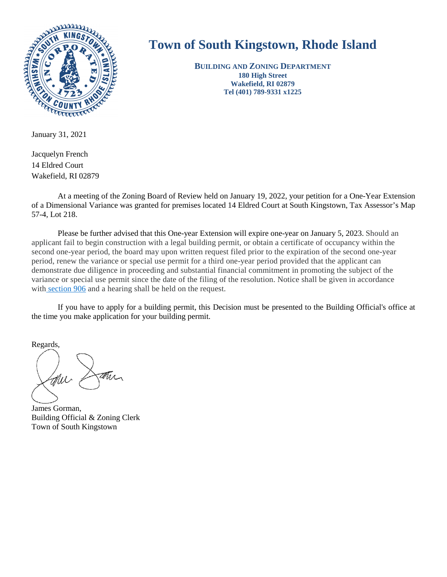

# **Town of South Kingstown, Rhode Island**

**BUILDING AND ZONING DEPARTMENT 180 High Street Wakefield, RI 02879 Tel (401) 789-9331 x1225** 

Jacquelyn French 14 Eldred Court Wakefield, RI 02879

At a meeting of the Zoning Board of Review held on January 19, 2022, your petition for a One-Year Extension of a Dimensional Variance was granted for premises located 14 Eldred Court at South Kingstown, Tax Assessor's Map 57-4, Lot 218.

Please be further advised that this One-year Extension will expire one-year on January 5, 2023. Should an applicant fail to begin construction with a legal building permit, or obtain a certificate of occupancy within the second one-year period, the board may upon written request filed prior to the expiration of the second one-year period, renew the variance or special use permit for a third one-year period provided that the applicant can demonstrate due diligence in proceeding and substantial financial commitment in promoting the subject of the variance or special use permit since the date of the filing of the resolution. Notice shall be given in accordance wit[h section 906](https://library.municode.com/ri/south_kingstown/codes/code_of_ordinances?nodeId=PTIIICOOR_APXAZOOR_ART9ADENRE_S906ZOBORE) and a hearing shall be held on the request.

If you have to apply for a building permit, this Decision must be presented to the Building Official's office at the time you make application for your building permit.

Regards,

James Gorman, Building Official & Zoning Clerk Town of South Kingstown